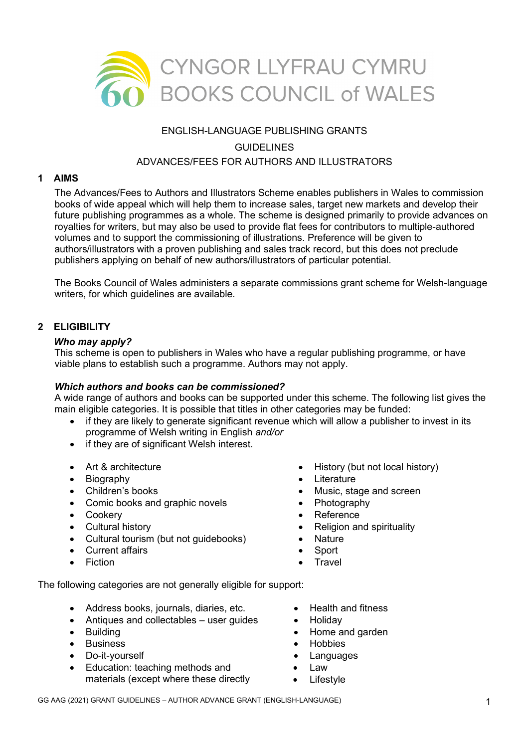

# ENGLISH-LANGUAGE PUBLISHING GRANTS **GUIDELINES** ADVANCES/FEES FOR AUTHORS AND ILLUSTRATORS

#### **1 AIMS**

The Advances/Fees to Authors and Illustrators Scheme enables publishers in Wales to commission books of wide appeal which will help them to increase sales, target new markets and develop their future publishing programmes as a whole. The scheme is designed primarily to provide advances on royalties for writers, but may also be used to provide flat fees for contributors to multiple-authored volumes and to support the commissioning of illustrations. Preference will be given to authors/illustrators with a proven publishing and sales track record, but this does not preclude publishers applying on behalf of new authors/illustrators of particular potential.

The Books Council of Wales administers a separate commissions grant scheme for Welsh-language writers, for which guidelines are available.

### **2 ELIGIBILITY**

#### *Who may apply?*

This scheme is open to publishers in Wales who have a regular publishing programme, or have viable plans to establish such a programme. Authors may not apply.

### *Which authors and books can be commissioned?*

A wide range of authors and books can be supported under this scheme. The following list gives the main eligible categories. It is possible that titles in other categories may be funded:

- if they are likely to generate significant revenue which will allow a publisher to invest in its programme of Welsh writing in English *and/or*
- if they are of significant Welsh interest.
- Art & architecture
- Biography
- Children's books
- Comic books and graphic novels
- Cookery
- Cultural history
- Cultural tourism (but not guidebooks)
- Current affairs
- Fiction
- History (but not local history)
- **Literature**
- Music, stage and screen
- Photography
- Reference
- Religion and spirituality
- **Nature**
- **Sport**
- **Travel**

The following categories are not generally eligible for support:

- Address books, journals, diaries, etc.
- Antiques and collectables user guides
- Building
- **Business**
- Do-it-yourself
- Education: teaching methods and materials (except where these directly
- Health and fitness
- **Holidav**
- Home and garden
- Hobbies
- **Languages**
- Law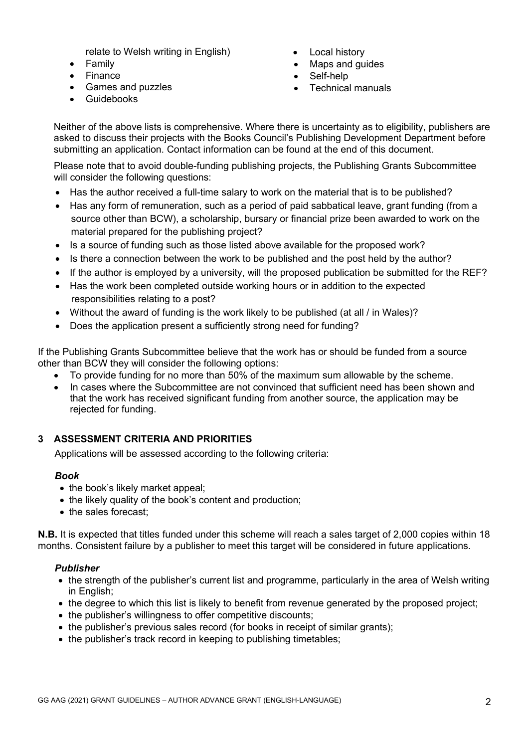relate to Welsh writing in English)

- Family
- Finance
- Games and puzzles
- Guidebooks
- **Local history**
- Maps and guides
- Self-help
- Technical manuals

Neither of the above lists is comprehensive. Where there is uncertainty as to eligibility, publishers are asked to discuss their projects with the Books Council's Publishing Development Department before submitting an application. Contact information can be found at the end of this document.

Please note that to avoid double-funding publishing projects, the Publishing Grants Subcommittee will consider the following questions:

- Has the author received a full-time salary to work on the material that is to be published?
- Has any form of remuneration, such as a period of paid sabbatical leave, grant funding (from a source other than BCW), a scholarship, bursary or financial prize been awarded to work on the material prepared for the publishing project?
- Is a source of funding such as those listed above available for the proposed work?
- Is there a connection between the work to be published and the post held by the author?
- If the author is employed by a university, will the proposed publication be submitted for the REF?
- Has the work been completed outside working hours or in addition to the expected responsibilities relating to a post?
- Without the award of funding is the work likely to be published (at all / in Wales)?
- Does the application present a sufficiently strong need for funding?

If the Publishing Grants Subcommittee believe that the work has or should be funded from a source other than BCW they will consider the following options:

- To provide funding for no more than 50% of the maximum sum allowable by the scheme.
- In cases where the Subcommittee are not convinced that sufficient need has been shown and that the work has received significant funding from another source, the application may be rejected for funding.

## **3 ASSESSMENT CRITERIA AND PRIORITIES**

Applications will be assessed according to the following criteria:

## *Book*

- the book's likely market appeal;
- the likely quality of the book's content and production;
- the sales forecast:

**N.B.** It is expected that titles funded under this scheme will reach a sales target of 2,000 copies within 18 months. Consistent failure by a publisher to meet this target will be considered in future applications.

## *Publisher*

- the strength of the publisher's current list and programme, particularly in the area of Welsh writing in English;
- the degree to which this list is likely to benefit from revenue generated by the proposed project;
- the publisher's willingness to offer competitive discounts;
- the publisher's previous sales record (for books in receipt of similar grants);
- the publisher's track record in keeping to publishing timetables: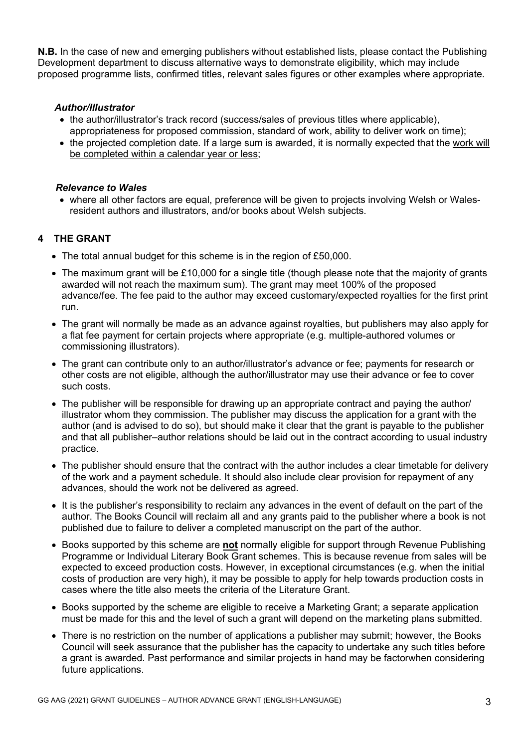**N.B.** In the case of new and emerging publishers without established lists, please contact the Publishing Development department to discuss alternative ways to demonstrate eligibility, which may include proposed programme lists, confirmed titles, relevant sales figures or other examples where appropriate.

#### *Author/Illustrator*

- the author/illustrator's track record (success/sales of previous titles where applicable), appropriateness for proposed commission, standard of work, ability to deliver work on time);
- the projected completion date. If a large sum is awarded, it is normally expected that the work will be completed within a calendar year or less:

#### *Relevance to Wales*

• where all other factors are equal, preference will be given to projects involving Welsh or Walesresident authors and illustrators, and/or books about Welsh subjects.

## **4 THE GRANT**

- The total annual budget for this scheme is in the region of £50,000.
- The maximum grant will be £10,000 for a single title (though please note that the majority of grants awarded will not reach the maximum sum). The grant may meet 100% of the proposed advance/fee. The fee paid to the author may exceed customary/expected royalties for the first print run.
- The grant will normally be made as an advance against royalties, but publishers may also apply for a flat fee payment for certain projects where appropriate (e.g. multiple-authored volumes or commissioning illustrators).
- The grant can contribute only to an author/illustrator's advance or fee; payments for research or other costs are not eligible, although the author/illustrator may use their advance or fee to cover such costs.
- The publisher will be responsible for drawing up an appropriate contract and paying the author/ illustrator whom they commission. The publisher may discuss the application for a grant with the author (and is advised to do so), but should make it clear that the grant is payable to the publisher and that all publisher–author relations should be laid out in the contract according to usual industry practice.
- The publisher should ensure that the contract with the author includes a clear timetable for delivery of the work and a payment schedule. It should also include clear provision for repayment of any advances, should the work not be delivered as agreed.
- It is the publisher's responsibility to reclaim any advances in the event of default on the part of the author. The Books Council will reclaim all and any grants paid to the publisher where a book is not published due to failure to deliver a completed manuscript on the part of the author.
- Books supported by this scheme are **not** normally eligible for support through Revenue Publishing Programme or Individual Literary Book Grant schemes. This is because revenue from sales will be expected to exceed production costs. However, in exceptional circumstances (e.g. when the initial costs of production are very high), it may be possible to apply for help towards production costs in cases where the title also meets the criteria of the Literature Grant.
- Books supported by the scheme are eligible to receive a Marketing Grant; a separate application must be made for this and the level of such a grant will depend on the marketing plans submitted.
- There is no restriction on the number of applications a publisher may submit; however, the Books Council will seek assurance that the publisher has the capacity to undertake any such titles before a grant is awarded. Past performance and similar projects in hand may be factorwhen considering future applications.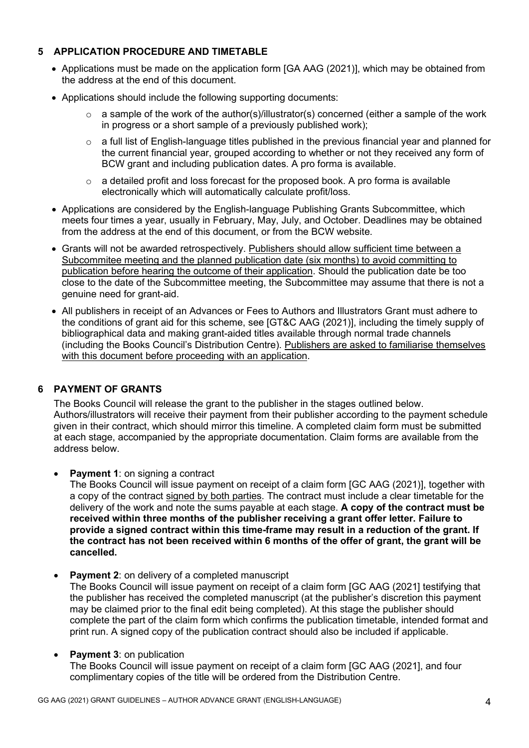## **5 APPLICATION PROCEDURE AND TIMETABLE**

- Applications must be made on the application form [GA AAG (2021)], which may be obtained from the address at the end of this document.
- Applications should include the following supporting documents:
	- $\circ$  a sample of the work of the author(s)/illustrator(s) concerned (either a sample of the work in progress or a short sample of a previously published work);
	- o a full list of English-language titles published in the previous financial year and planned for the current financial year, grouped according to whether or not they received any form of BCW grant and including publication dates. A pro forma is available.
	- $\circ$  a detailed profit and loss forecast for the proposed book. A pro forma is available electronically which will automatically calculate profit/loss.
- Applications are considered by the English-language Publishing Grants Subcommittee, which meets four times a year, usually in February, May, July, and October. Deadlines may be obtained from the address at the end of this document, or from the BCW website.
- Grants will not be awarded retrospectively. Publishers should allow sufficient time between a Subcommitee meeting and the planned publication date (six months) to avoid committing to publication before hearing the outcome of their application. Should the publication date be too close to the date of the Subcommittee meeting, the Subcommittee may assume that there is not a genuine need for grant-aid.
- All publishers in receipt of an Advances or Fees to Authors and Illustrators Grant must adhere to the conditions of grant aid for this scheme, see [GT&C AAG (2021)], including the timely supply of bibliographical data and making grant-aided titles available through normal trade channels (including the Books Council's Distribution Centre). Publishers are asked to familiarise themselves with this document before proceeding with an application.

## **6 PAYMENT OF GRANTS**

The Books Council will release the grant to the publisher in the stages outlined below. Authors/illustrators will receive their payment from their publisher according to the payment schedule given in their contract, which should mirror this timeline. A completed claim form must be submitted at each stage, accompanied by the appropriate documentation. Claim forms are available from the address below.

• **Payment 1**: on signing a contract

The Books Council will issue payment on receipt of a claim form [GC AAG (2021)], together with a copy of the contract signed by both parties. The contract must include a clear timetable for the delivery of the work and note the sums payable at each stage. **A copy of the contract must be received within three months of the publisher receiving a grant offer letter. Failure to provide a signed contract within this time-frame may result in a reduction of the grant. If the contract has not been received within 6 months of the offer of grant, the grant will be cancelled.** 

**Payment 2: on delivery of a completed manuscript** 

The Books Council will issue payment on receipt of a claim form [GC AAG (2021] testifying that the publisher has received the completed manuscript (at the publisher's discretion this payment may be claimed prior to the final edit being completed). At this stage the publisher should complete the part of the claim form which confirms the publication timetable, intended format and print run. A signed copy of the publication contract should also be included if applicable.

### **Payment 3: on publication**

The Books Council will issue payment on receipt of a claim form [GC AAG (2021], and four complimentary copies of the title will be ordered from the Distribution Centre.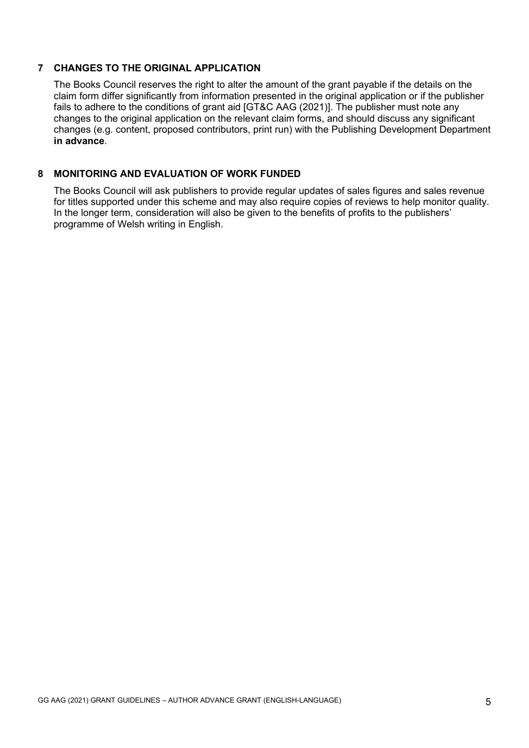### **7 CHANGES TO THE ORIGINAL APPLICATION**

The Books Council reserves the right to alter the amount of the grant payable if the details on the claim form differ significantly from information presented in the original application or if the publisher fails to adhere to the conditions of grant aid [GT&C AAG (2021)]. The publisher must note any changes to the original application on the relevant claim forms, and should discuss any significant changes (e.g. content, proposed contributors, print run) with the Publishing Development Department **in advance**.

### **8 MONITORING AND EVALUATION OF WORK FUNDED**

The Books Council will ask publishers to provide regular updates of sales figures and sales revenue for titles supported under this scheme and may also require copies of reviews to help monitor quality. In the longer term, consideration will also be given to the benefits of profits to the publishers' programme of Welsh writing in English.